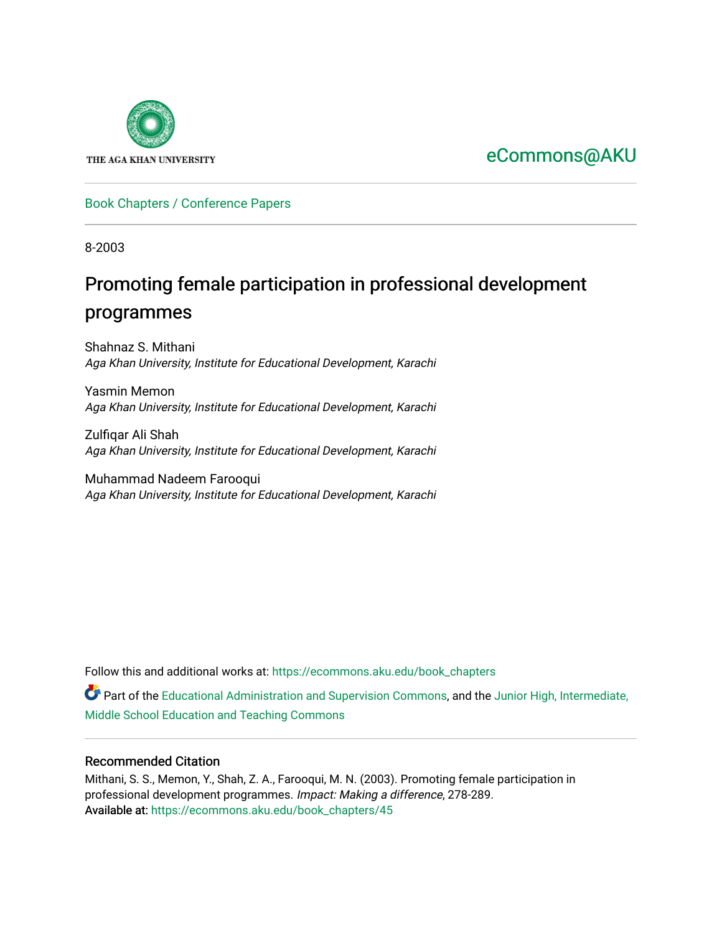

## [eCommons@AKU](https://ecommons.aku.edu/)

#### [Book Chapters / Conference Papers](https://ecommons.aku.edu/book_chapters)

8-2003

# Promoting female participation in professional development programmes

Shahnaz S. Mithani Aga Khan University, Institute for Educational Development, Karachi

Yasmin Memon Aga Khan University, Institute for Educational Development, Karachi

Zulfiqar Ali Shah Aga Khan University, Institute for Educational Development, Karachi

Muhammad Nadeem Farooqui Aga Khan University, Institute for Educational Development, Karachi

Follow this and additional works at: [https://ecommons.aku.edu/book\\_chapters](https://ecommons.aku.edu/book_chapters?utm_source=ecommons.aku.edu%2Fbook_chapters%2F45&utm_medium=PDF&utm_campaign=PDFCoverPages) 

Part of the [Educational Administration and Supervision Commons](http://network.bepress.com/hgg/discipline/787?utm_source=ecommons.aku.edu%2Fbook_chapters%2F45&utm_medium=PDF&utm_campaign=PDFCoverPages), and the [Junior High, Intermediate,](http://network.bepress.com/hgg/discipline/807?utm_source=ecommons.aku.edu%2Fbook_chapters%2F45&utm_medium=PDF&utm_campaign=PDFCoverPages) [Middle School Education and Teaching Commons](http://network.bepress.com/hgg/discipline/807?utm_source=ecommons.aku.edu%2Fbook_chapters%2F45&utm_medium=PDF&utm_campaign=PDFCoverPages) 

#### Recommended Citation

Mithani, S. S., Memon, Y., Shah, Z. A., Farooqui, M. N. (2003). Promoting female participation in professional development programmes. Impact: Making a difference, 278-289. Available at: [https://ecommons.aku.edu/book\\_chapters/45](https://ecommons.aku.edu/book_chapters/45)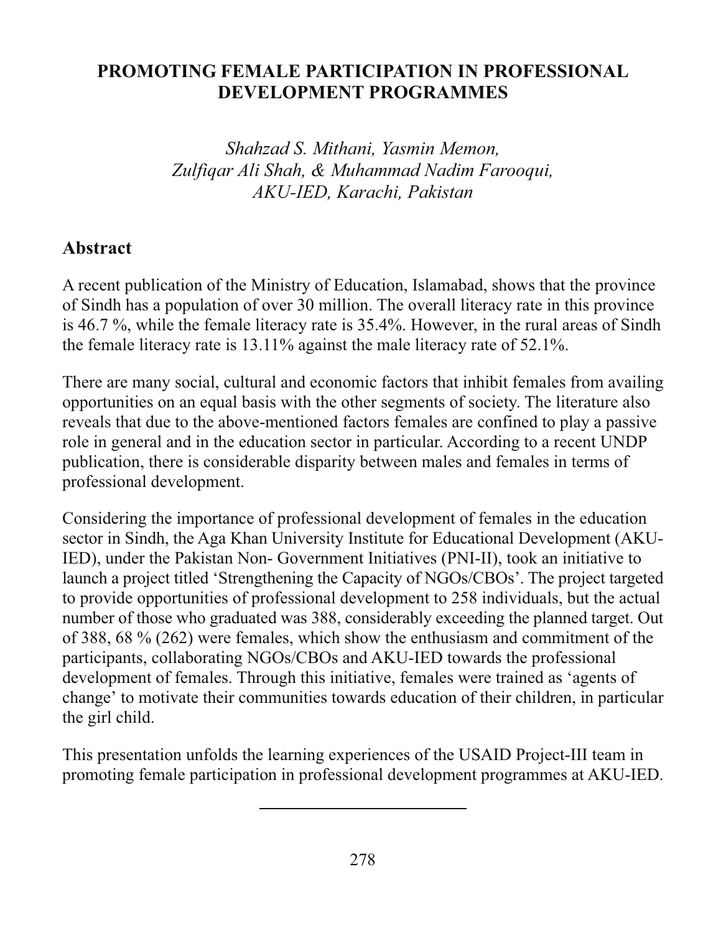#### **PROMOTING FEMALE PARTICIPATION IN PROFESSIONAL DEVELOPMENT PROGRAMMES**

Shahzad S. Mithani, Yasmin Memon, Zulfigar Ali Shah, & Muhammad Nadim Farooqui, AKU-IED, Karachi, Pakistan

#### **Abstract**

A recent publication of the Ministry of Education, Islamabad, shows that the province of Sindh has a population of over 30 million. The overall literacy rate in this province is 46.7 %, while the female literacy rate is 35.4%. However, in the rural areas of Sindh the female literacy rate is  $13.11\%$  against the male literacy rate of  $52.1\%$ .

There are many social, cultural and economic factors that inhibit females from availing opportunities on an equal basis with the other segments of society. The literature also reveals that due to the above-mentioned factors females are confined to play a passive role in general and in the education sector in particular. According to a recent UNDP publication, there is considerable disparity between males and females in terms of professional development.

Considering the importance of professional development of females in the education sector in Sindh, the Aga Khan University Institute for Educational Development (AKU-IED), under the Pakistan Non-Government Initiatives (PNI-II), took an initiative to launch a project titled 'Strengthening the Capacity of NGOs/CBOs'. The project targeted to provide opportunities of professional development to 258 individuals, but the actual number of those who graduated was 388, considerably exceeding the planned target. Out of 388, 68  $\%$  (262) were females, which show the enthusiasm and commitment of the participants, collaborating NGOs/CBOs and AKU-IED towards the professional development of females. Through this initiative, females were trained as 'agents of change' to motivate their communities towards education of their children, in particular the girl child.

This presentation unfolds the learning experiences of the USAID Project-III team in promoting female participation in professional development programmes at AKU-IED.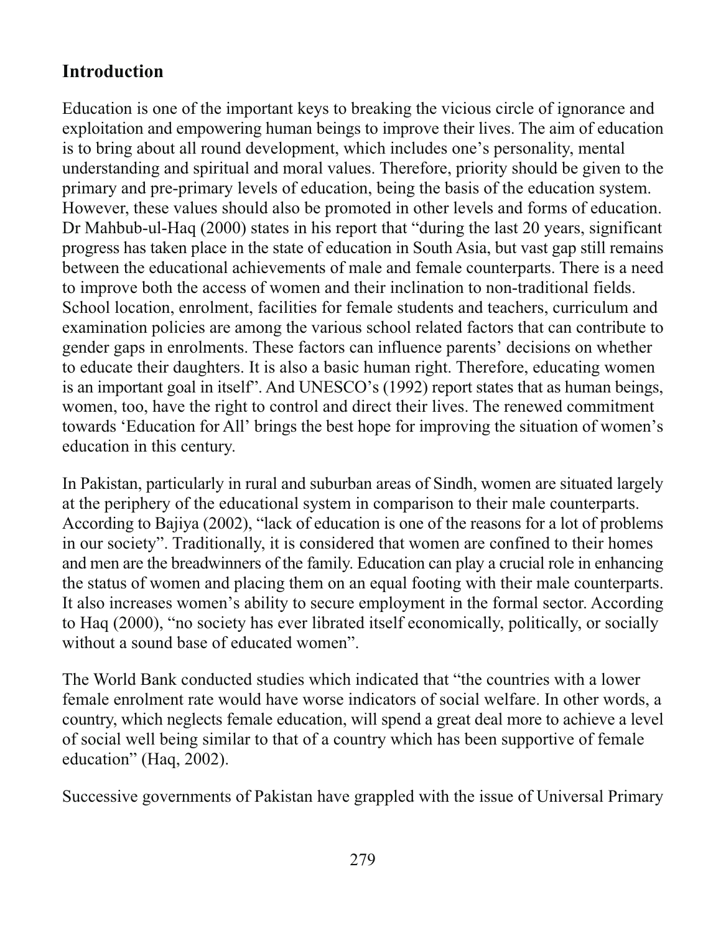### **Introduction**

Education is one of the important keys to breaking the vicious circle of ignorance and exploitation and empowering human beings to improve their lives. The aim of education is to bring about all round development, which includes one's personality, mental understanding and spiritual and moral values. Therefore, priority should be given to the primary and pre-primary levels of education, being the basis of the education system. However, these values should also be promoted in other levels and forms of education. Dr Mahbub-ul-Haq (2000) states in his report that "during the last 20 years, significant progress has taken place in the state of education in South Asia, but vast gap still remains between the educational achievements of male and female counterparts. There is a need to improve both the access of women and their inclination to non-traditional fields. School location, enrolment, facilities for female students and teachers, curriculum and examination policies are among the various school related factors that can contribute to gender gaps in enrolments. These factors can influence parents' decisions on whether to educate their daughters. It is also a basic human right. Therefore, educating women is an important goal in itself'. And UNESCO's (1992) report states that as human beings, women, too, have the right to control and direct their lives. The renewed commitment towards 'Education for All' brings the best hope for improving the situation of women's education in this century.

In Pakistan, particularly in rural and suburban areas of Sindh, women are situated largely at the periphery of the educational system in comparison to their male counterparts. According to Bajiya (2002), "lack of education is one of the reasons for a lot of problems in our society". Traditionally, it is considered that women are confined to their homes and men are the breadwinners of the family. Education can play a crucial role in enhancing the status of women and placing them on an equal footing with their male counterparts. It also increases women's ability to secure employment in the formal sector. According to Haq (2000), "no society has ever librated itself economically, politically, or socially without a sound base of educated women".

The World Bank conducted studies which indicated that "the countries with a lower female enrolment rate would have worse indicators of social welfare. In other words, a country, which neglects female education, will spend a great deal more to achieve a level of social well being similar to that of a country which has been supportive of female education" (Haq. 2002).

Successive governments of Pakistan have grappled with the issue of Universal Primary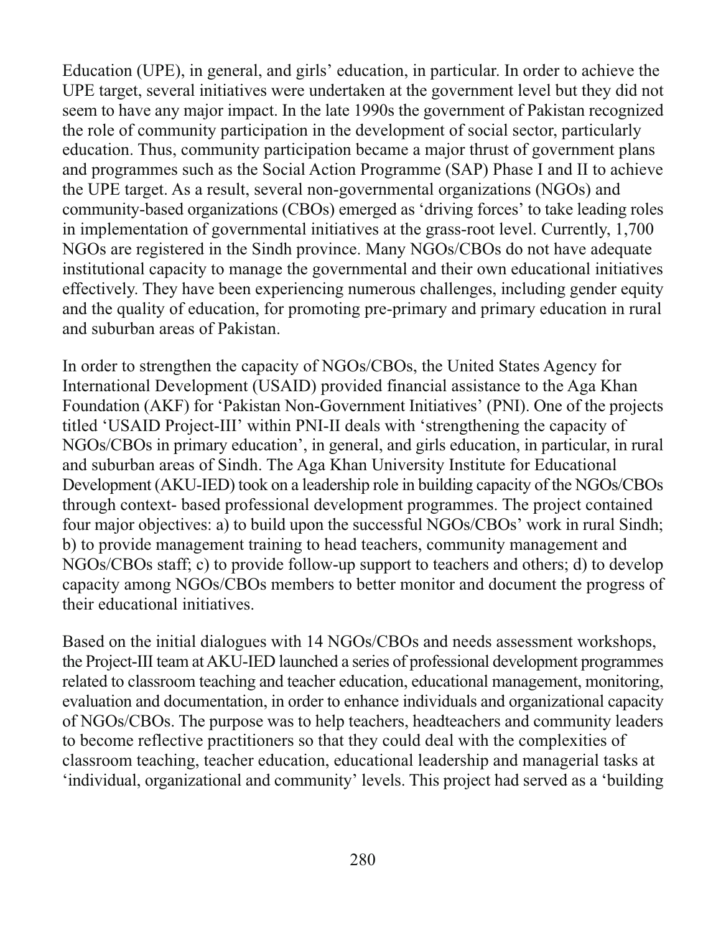Education (UPE), in general, and girls' education, in particular. In order to achieve the UPE target, several initiatives were undertaken at the government level but they did not seem to have any major impact. In the late 1990s the government of Pakistan recognized the role of community participation in the development of social sector, particularly education. Thus, community participation became a major thrust of government plans and programmes such as the Social Action Programme (SAP) Phase I and II to achieve the UPE target. As a result, several non-governmental organizations (NGOs) and community-based organizations (CBOs) emerged as 'driving forces' to take leading roles in implementation of governmental initiatives at the grass-root level. Currently, 1,700 NGOs are registered in the Sindh province. Many NGOs/CBOs do not have adequate institutional capacity to manage the governmental and their own educational initiatives effectively. They have been experiencing numerous challenges, including gender equity and the quality of education, for promoting pre-primary and primary education in rural and suburban areas of Pakistan.

In order to strengthen the capacity of NGOs/CBOs, the United States Agency for International Development (USAID) provided financial assistance to the Aga Khan Foundation (AKF) for 'Pakistan Non-Government Initiatives' (PNI). One of the projects titled 'USAID Project-III' within PNI-II deals with 'strengthening the capacity of NGOs/CBOs in primary education', in general, and girls education, in particular, in rural and suburban areas of Sindh. The Aga Khan University Institute for Educational Development (AKU-IED) took on a leadership role in building capacity of the NGOs/CBOs through context- based professional development programmes. The project contained four major objectives: a) to build upon the successful NGOs/CBOs' work in rural Sindh; b) to provide management training to head teachers, community management and NGOs/CBOs staff; c) to provide follow-up support to teachers and others; d) to develop capacity among NGOs/CBOs members to better monitor and document the progress of their educational initiatives.

Based on the initial dialogues with 14 NGOs/CBOs and needs assessment workshops, the Project-III team at AKU-IED launched a series of professional development programmes related to classroom teaching and teacher education, educational management, monitoring, evaluation and documentation, in order to enhance individuals and organizational capacity of NGOs/CBOs. The purpose was to help teachers, headteachers and community leaders to become reflective practitioners so that they could deal with the complexities of classroom teaching, teacher education, educational leadership and managerial tasks at 'individual, organizational and community' levels. This project had served as a 'building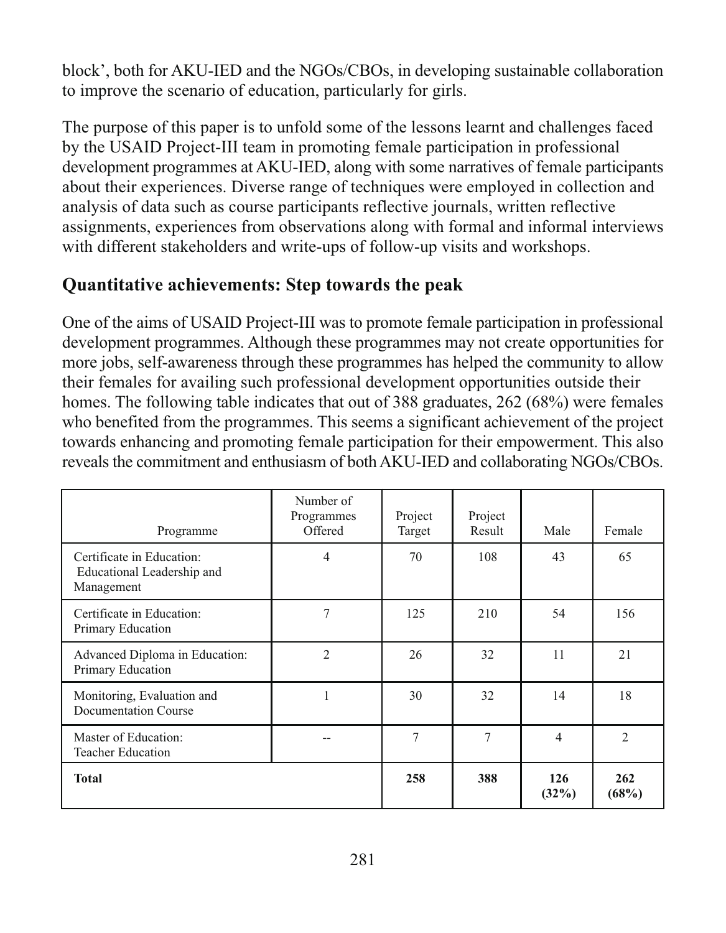block', both for AKU-IED and the NGOs/CBOs, in developing sustainable collaboration to improve the scenario of education, particularly for girls.

The purpose of this paper is to unfold some of the lessons learnt and challenges faced by the USAID Project-III team in promoting female participation in professional development programmes at AKU-IED, along with some narratives of female participants about their experiences. Diverse range of techniques were employed in collection and analysis of data such as course participants reflective journals, written reflective assignments, experiences from observations along with formal and informal interviews with different stakeholders and write-ups of follow-up visits and workshops.

#### Quantitative achievements: Step towards the peak

One of the aims of USAID Project-III was to promote female participation in professional development programmes. Although these programmes may not create opportunities for more jobs, self-awareness through these programmes has helped the community to allow their females for availing such professional development opportunities outside their homes. The following table indicates that out of 388 graduates, 262 (68%) were females who benefited from the programmes. This seems a significant achievement of the project towards enhancing and promoting female participation for their empowerment. This also reveals the commitment and enthusiasm of both AKU-IED and collaborating NGOs/CBOs.

| Programme                                                             | Number of<br>Programmes<br>Offered | Project<br>Target | Project<br>Result | Male         | Female         |
|-----------------------------------------------------------------------|------------------------------------|-------------------|-------------------|--------------|----------------|
| Certificate in Education:<br>Educational Leadership and<br>Management | $\overline{4}$                     | 70                | 108               | 43           | 65             |
| Certificate in Education:<br>Primary Education                        | 7                                  | 125               | 210               | 54           | 156            |
| Advanced Diploma in Education:<br>Primary Education                   | $\overline{2}$                     | 26                | 32                | 11           | 21             |
| Monitoring, Evaluation and<br><b>Documentation Course</b>             |                                    | 30                | 32                | 14           | 18             |
| Master of Education:<br><b>Teacher Education</b>                      |                                    | 7                 | 7                 | 4            | $\overline{2}$ |
| <b>Total</b>                                                          |                                    | 258               | 388               | 126<br>(32%) | 262<br>(68%)   |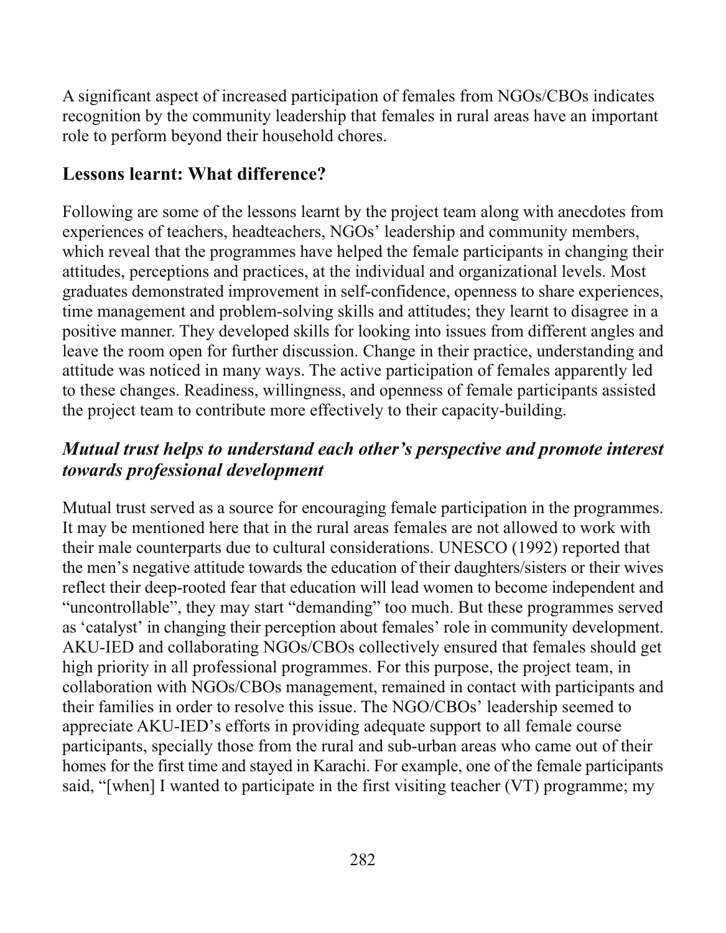A significant aspect of increased participation of females from NGOs/CBOs indicates recognition by the community leadership that females in rural areas have an important role to perform beyond their household chores.

#### **Lessons learnt: What difference?**

Following are some of the lessons learnt by the project team along with anecdotes from experiences of teachers, headteachers, NGOs' leadership and community members, which reveal that the programmes have helped the female participants in changing their attitudes, perceptions and practices, at the individual and organizational levels. Most graduates demonstrated improvement in self-confidence, openness to share experiences, time management and problem-solving skills and attitudes; they learnt to disagree in a positive manner. They developed skills for looking into issues from different angles and leave the room open for further discussion. Change in their practice, understanding and attitude was noticed in many ways. The active participation of females apparently led to these changes. Readiness, willingness, and openness of female participants assisted the project team to contribute more effectively to their capacity-building.

### Mutual trust helps to understand each other's perspective and promote interest towards professional development

Mutual trust served as a source for encouraging female participation in the programmes. It may be mentioned here that in the rural areas females are not allowed to work with their male counterparts due to cultural considerations. UNESCO (1992) reported that the men's negative attitude towards the education of their daughters/sisters or their wives reflect their deep-rooted fear that education will lead women to become independent and "uncontrollable", they may start "demanding" too much. But these programmes served as 'catalyst' in changing their perception about females' role in community development. AKU-IED and collaborating NGOs/CBOs collectively ensured that females should get high priority in all professional programmes. For this purpose, the project team, in collaboration with NGOs/CBOs management, remained in contact with participants and their families in order to resolve this issue. The NGO/CBOs' leadership seemed to appreciate AKU-IED's efforts in providing adequate support to all female course participants, specially those from the rural and sub-urban areas who came out of their homes for the first time and stayed in Karachi. For example, one of the female participants said, "[when] I wanted to participate in the first visiting teacher (VT) programme; my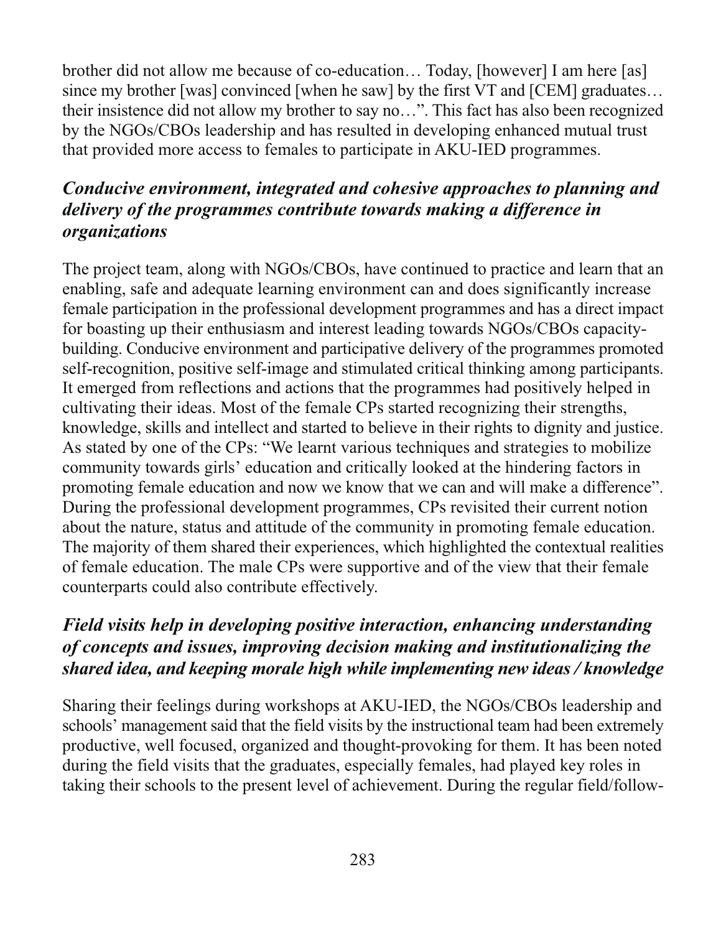brother did not allow me because of co-education... Today, [however] I am here [as] since my brother [was] convinced [when he saw] by the first VT and [CEM] graduates... their insistence did not allow my brother to say no...". This fact has also been recognized by the NGOs/CBOs leadership and has resulted in developing enhanced mutual trust that provided more access to females to participate in AKU-IED programmes.

### Conducive environment, integrated and cohesive approaches to planning and delivery of the programmes contribute towards making a difference in *organizations*

The project team, along with NGOs/CBOs, have continued to practice and learn that an enabling, safe and adequate learning environment can and does significantly increase female participation in the professional development programmes and has a direct impact for boasting up their enthusiasm and interest leading towards NGOs/CBOs capacitybuilding. Conducive environment and participative delivery of the programmes promoted self-recognition, positive self-image and stimulated critical thinking among participants. It emerged from reflections and actions that the programmes had positively helped in cultivating their ideas. Most of the female CPs started recognizing their strengths, knowledge, skills and intellect and started to believe in their rights to dignity and justice. As stated by one of the CPs: "We learnt various techniques and strategies to mobilize community towards girls' education and critically looked at the hindering factors in promoting female education and now we know that we can and will make a difference". During the professional development programmes, CPs revisited their current notion about the nature, status and attitude of the community in promoting female education. The majority of them shared their experiences, which highlighted the contextual realities of female education. The male CPs were supportive and of the view that their female counterparts could also contribute effectively.

#### Field visits help in developing positive interaction, enhancing understanding of concepts and issues, improving decision making and institutionalizing the shared idea, and keeping morale high while implementing new ideas / knowledge

Sharing their feelings during workshops at AKU-IED, the NGOs/CBOs leadership and schools' management said that the field visits by the instructional team had been extremely productive, well focused, organized and thought-provoking for them. It has been noted during the field visits that the graduates, especially females, had played key roles in taking their schools to the present level of achievement. During the regular field/follow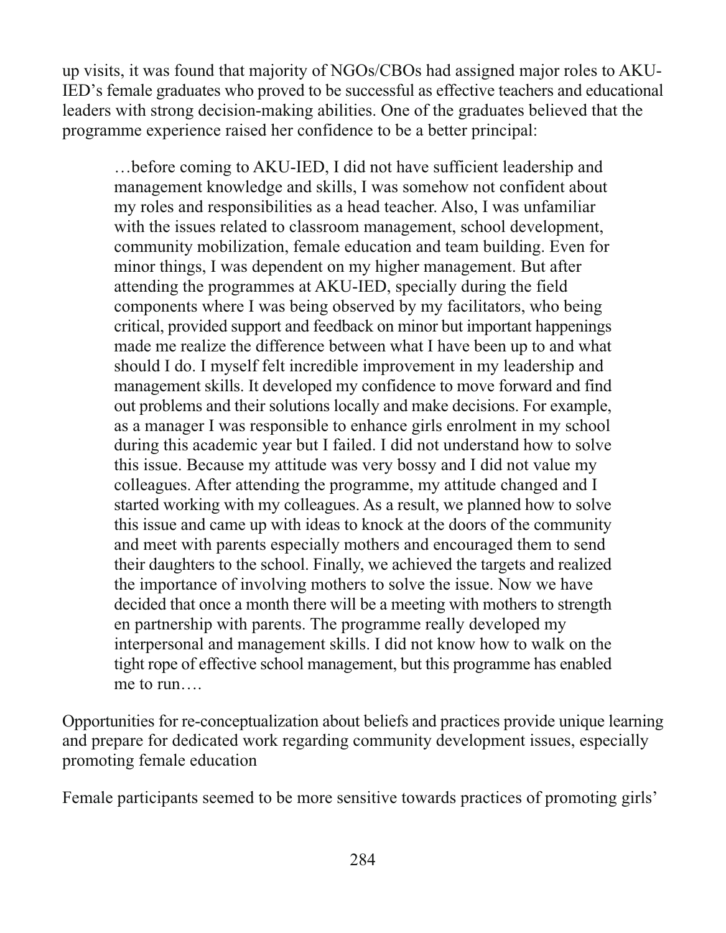up visits, it was found that majority of NGOs/CBOs had assigned major roles to AKU-IED's female graduates who proved to be successful as effective teachers and educational leaders with strong decision-making abilities. One of the graduates believed that the programme experience raised her confidence to be a better principal:

... before coming to AKU-IED, I did not have sufficient leadership and management knowledge and skills, I was somehow not confident about my roles and responsibilities as a head teacher. Also, I was unfamiliar with the issues related to classroom management, school development, community mobilization, female education and team building. Even for minor things, I was dependent on my higher management. But after attending the programmes at AKU-IED, specially during the field components where I was being observed by my facilitators, who being critical, provided support and feedback on minor but important happenings made me realize the difference between what I have been up to and what should I do. I myself felt incredible improvement in my leadership and management skills. It developed my confidence to move forward and find out problems and their solutions locally and make decisions. For example, as a manager I was responsible to enhance girls enrolment in my school during this academic year but I failed. I did not understand how to solve this issue. Because my attitude was very bossy and I did not value my colleagues. After attending the programme, my attitude changed and I started working with my colleagues. As a result, we planned how to solve this issue and came up with ideas to knock at the doors of the community and meet with parents especially mothers and encouraged them to send their daughters to the school. Finally, we achieved the targets and realized the importance of involving mothers to solve the issue. Now we have decided that once a month there will be a meeting with mothers to strength en partnership with parents. The programme really developed my interpersonal and management skills. I did not know how to walk on the tight rope of effective school management, but this programme has enabled me to run

Opportunities for re-conceptualization about beliefs and practices provide unique learning and prepare for dedicated work regarding community development issues, especially promoting female education

Female participants seemed to be more sensitive towards practices of promoting girls'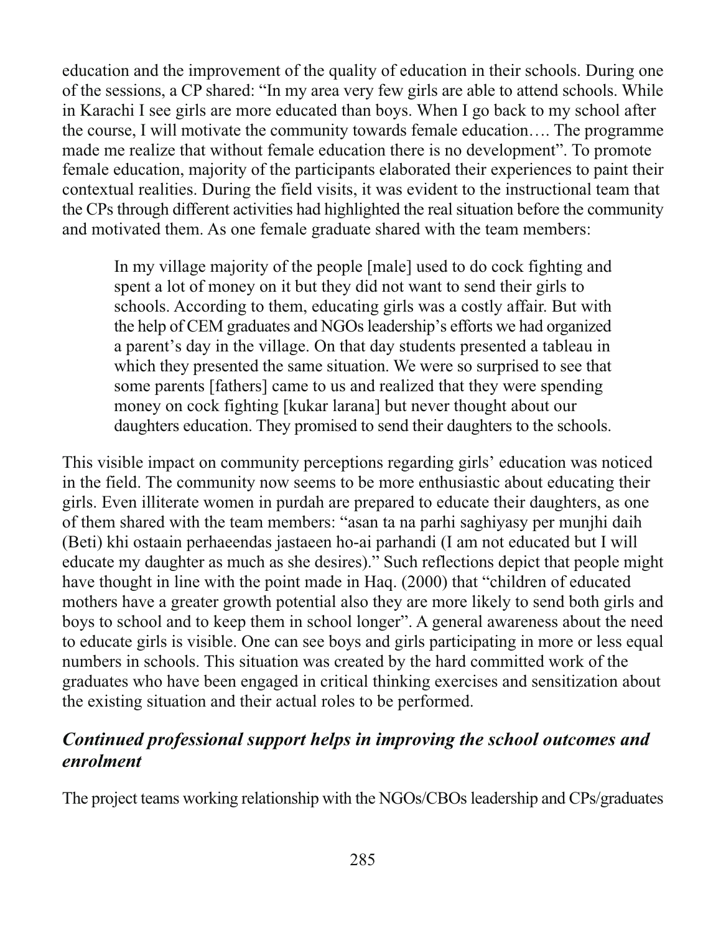education and the improvement of the quality of education in their schools. During one of the sessions, a CP shared: "In my area very few girls are able to attend schools. While in Karachi I see girls are more educated than boys. When I go back to my school after the course, I will motivate the community towards female education.... The programme made me realize that without female education there is no development". To promote female education, majority of the participants elaborated their experiences to paint their contextual realities. During the field visits, it was evident to the instructional team that the CPs through different activities had highlighted the real situation before the community and motivated them. As one female graduate shared with the team members:

In my village majority of the people [male] used to do cock fighting and spent a lot of money on it but they did not want to send their girls to schools. According to them, educating girls was a costly affair. But with the help of CEM graduates and NGOs leadership's efforts we had organized a parent's day in the village. On that day students presented a tableau in which they presented the same situation. We were so surprised to see that some parents [fathers] came to us and realized that they were spending money on cock fighting [kukar larana] but never thought about our daughters education. They promised to send their daughters to the schools.

This visible impact on community perceptions regarding girls' education was noticed in the field. The community now seems to be more enthusiastic about educating their girls. Even illiterate women in purdah are prepared to educate their daughters, as one of them shared with the team members: "asan ta na parhi saghiyasy per munjhi daih (Beti) khi ostaain perhaeendas jastaeen ho-ai parhandi (I am not educated but I will educate my daughter as much as she desires)." Such reflections depict that people might have thought in line with the point made in Haq. (2000) that "children of educated mothers have a greater growth potential also they are more likely to send both girls and boys to school and to keep them in school longer". A general awareness about the need to educate girls is visible. One can see boys and girls participating in more or less equal numbers in schools. This situation was created by the hard committed work of the graduates who have been engaged in critical thinking exercises and sensitization about the existing situation and their actual roles to be performed.

#### Continued professional support helps in improving the school outcomes and enrolment

The project teams working relationship with the NGOs/CBOs leadership and CPs/graduates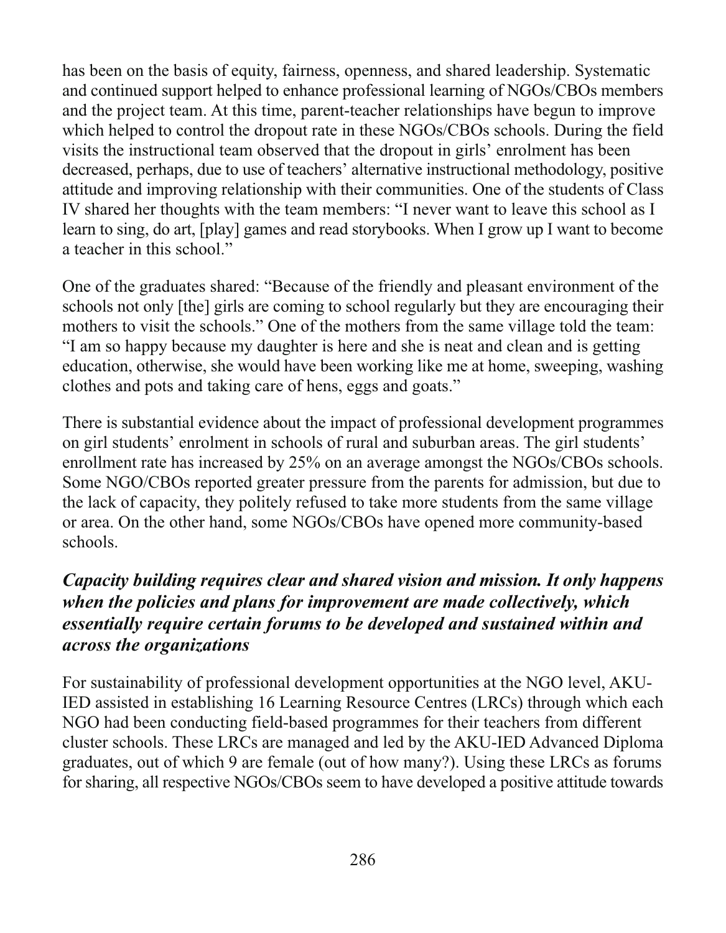has been on the basis of equity, fairness, openness, and shared leadership. Systematic and continued support helped to enhance professional learning of NGOs/CBOs members and the project team. At this time, parent-teacher relationships have begun to improve which helped to control the dropout rate in these NGOs/CBOs schools. During the field visits the instructional team observed that the dropout in girls' enrolment has been decreased, perhaps, due to use of teachers' alternative instructional methodology, positive attitude and improving relationship with their communities. One of the students of Class IV shared her thoughts with the team members: "I never want to leave this school as I learn to sing, do art, [play] games and read storybooks. When I grow up I want to become a teacher in this school."

One of the graduates shared: "Because of the friendly and pleasant environment of the schools not only [the] girls are coming to school regularly but they are encouraging their mothers to visit the schools." One of the mothers from the same village told the team: "I am so happy because my daughter is here and she is neat and clean and is getting education, otherwise, she would have been working like me at home, sweeping, washing clothes and pots and taking care of hens, eggs and goats."

There is substantial evidence about the impact of professional development programmes on girl students' enrolment in schools of rural and suburban areas. The girl students' enrollment rate has increased by 25% on an average amongst the NGOs/CBOs schools. Some NGO/CBOs reported greater pressure from the parents for admission, but due to the lack of capacity, they politely refused to take more students from the same village or area. On the other hand, some NGOs/CBOs have opened more community-based schools.

#### Capacity building requires clear and shared vision and mission. It only happens when the policies and plans for improvement are made collectively, which essentially require certain forums to be developed and sustained within and *across the organizations*

For sustainability of professional development opportunities at the NGO level, AKU-IED assisted in establishing 16 Learning Resource Centres (LRCs) through which each NGO had been conducting field-based programmes for their teachers from different cluster schools. These LRCs are managed and led by the AKU-IED Advanced Diploma graduates, out of which 9 are female (out of how many?). Using these LRCs as forums for sharing, all respective NGOs/CBOs seem to have developed a positive attitude towards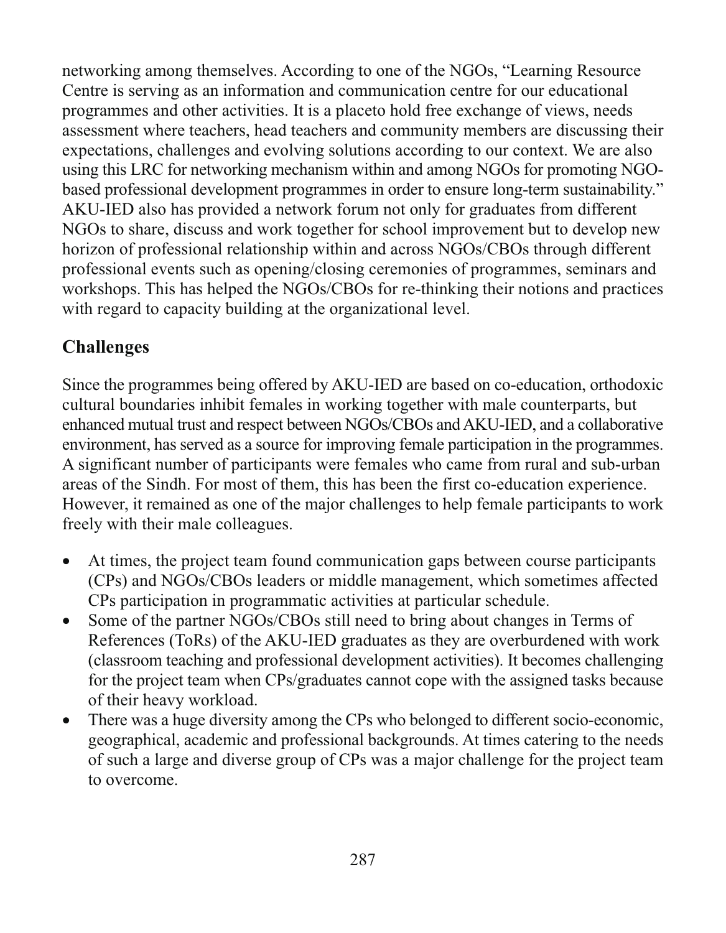networking among themselves. According to one of the NGOs, "Learning Resource" Centre is serving as an information and communication centre for our educational programmes and other activities. It is a placeto hold free exchange of views, needs assessment where teachers, head teachers and community members are discussing their expectations, challenges and evolving solutions according to our context. We are also using this LRC for networking mechanism within and among NGOs for promoting NGObased professional development programmes in order to ensure long-term sustainability." AKU-IED also has provided a network forum not only for graduates from different NGOs to share, discuss and work together for school improvement but to develop new horizon of professional relationship within and across NGOs/CBOs through different professional events such as opening/closing ceremonies of programmes, seminars and workshops. This has helped the NGOs/CBOs for re-thinking their notions and practices with regard to capacity building at the organizational level.

## **Challenges**

Since the programmes being offered by AKU-IED are based on co-education, orthodoxic cultural boundaries inhibit females in working together with male counterparts, but enhanced mutual trust and respect between NGOs/CBOs and AKU-IED, and a collaborative environment, has served as a source for improving female participation in the programmes. A significant number of participants were females who came from rural and sub-urban areas of the Sindh. For most of them, this has been the first co-education experience. However, it remained as one of the major challenges to help female participants to work freely with their male colleagues.

- At times, the project team found communication gaps between course participants  $\bullet$ (CPs) and NGOs/CBOs leaders or middle management, which sometimes affected CPs participation in programmatic activities at particular schedule.
- Some of the partner NGOs/CBOs still need to bring about changes in Terms of References (ToRs) of the AKU-IED graduates as they are overburdened with work (classroom teaching and professional development activities). It becomes challenging for the project team when CPs/graduates cannot cope with the assigned tasks because of their heavy workload.
- There was a huge diversity among the CPs who belonged to different socio-economic,  $\bullet$ geographical, academic and professional backgrounds. At times catering to the needs of such a large and diverse group of CPs was a major challenge for the project team to overcome.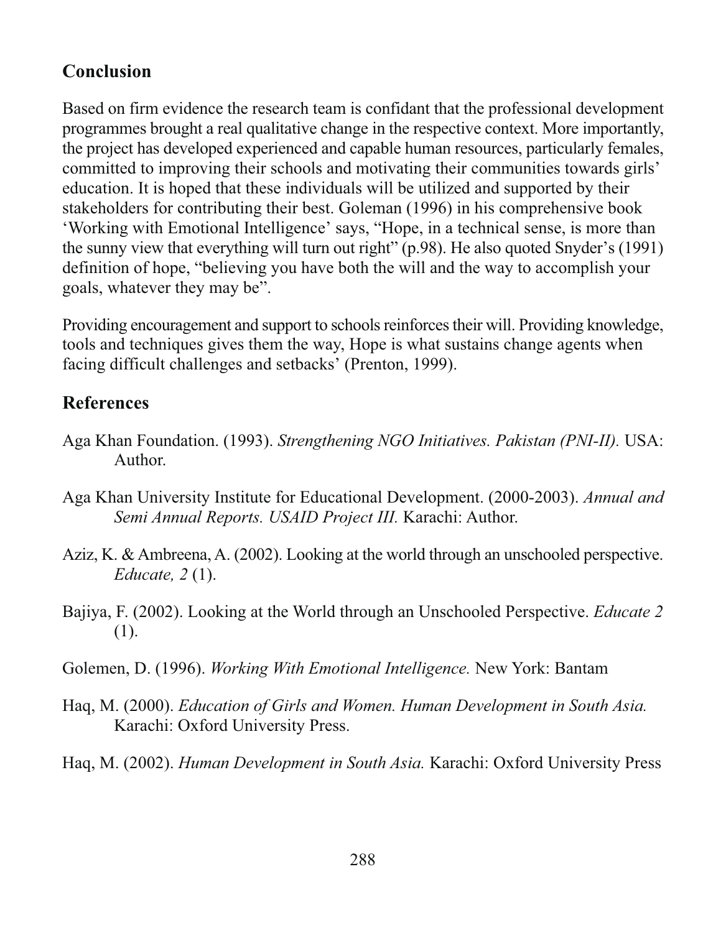#### **Conclusion**

Based on firm evidence the research team is confidant that the professional development programmes brought a real qualitative change in the respective context. More importantly, the project has developed experienced and capable human resources, particularly females, committed to improving their schools and motivating their communities towards girls' education. It is hoped that these individuals will be utilized and supported by their stakeholders for contributing their best. Goleman (1996) in his comprehensive book 'Working with Emotional Intelligence' says, "Hope, in a technical sense, is more than the sunny view that everything will turn out right" (p.98). He also quoted Snyder's (1991) definition of hope, "believing you have both the will and the way to accomplish your goals, whatever they may be".

Providing encouragement and support to schools reinforces their will. Providing knowledge, tools and techniques gives them the way, Hope is what sustains change agents when facing difficult challenges and setbacks' (Prenton, 1999).

#### **References**

- Aga Khan Foundation. (1993). Strengthening NGO Initiatives. Pakistan (PNI-II). USA: Author.
- Aga Khan University Institute for Educational Development. (2000-2003). Annual and Semi Annual Reports. USAID Project III. Karachi: Author.
- Aziz, K. & Ambreena, A. (2002). Looking at the world through an unschooled perspective. *Educate*,  $2(1)$ .
- Bajiya, F. (2002). Looking at the World through an Unschooled Perspective. Educate 2  $(1).$
- Golemen, D. (1996). Working With Emotional Intelligence. New York: Bantam
- Haq, M. (2000). Education of Girls and Women. Human Development in South Asia. Karachi: Oxford University Press.
- Hag, M. (2002). Human Development in South Asia. Karachi: Oxford University Press